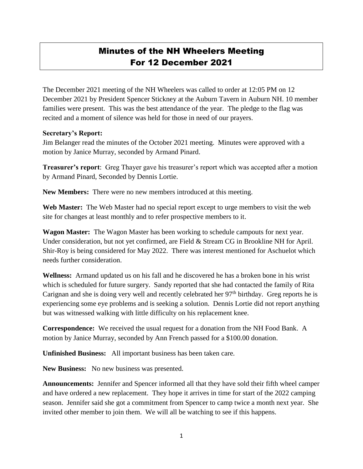## Minutes of the NH Wheelers Meeting For 12 December 2021

The December 2021 meeting of the NH Wheelers was called to order at 12:05 PM on 12 December 2021 by President Spencer Stickney at the Auburn Tavern in Auburn NH. 10 member families were present. This was the best attendance of the year. The pledge to the flag was recited and a moment of silence was held for those in need of our prayers.

## **Secretary's Report:**

Jim Belanger read the minutes of the October 2021 meeting. Minutes were approved with a motion by Janice Murray, seconded by Armand Pinard.

**Treasurer's report**: Greg Thayer gave his treasurer's report which was accepted after a motion by Armand Pinard, Seconded by Dennis Lortie.

**New Members:** There were no new members introduced at this meeting.

**Web Master:** The Web Master had no special report except to urge members to visit the web site for changes at least monthly and to refer prospective members to it.

**Wagon Master:** The Wagon Master has been working to schedule campouts for next year. Under consideration, but not yet confirmed, are Field & Stream CG in Brookline NH for April. Shir-Roy is being considered for May 2022. There was interest mentioned for Aschuelot which needs further consideration.

**Wellness:** Armand updated us on his fall and he discovered he has a broken bone in his wrist which is scheduled for future surgery. Sandy reported that she had contacted the family of Rita Carignan and she is doing very well and recently celebrated her 97<sup>th</sup> birthday. Greg reports he is experiencing some eye problems and is seeking a solution. Dennis Lortie did not report anything but was witnessed walking with little difficulty on his replacement knee.

**Correspondence:** We received the usual request for a donation from the NH Food Bank. A motion by Janice Murray, seconded by Ann French passed for a \$100.00 donation.

**Unfinished Business:** All important business has been taken care.

**New Business:** No new business was presented.

**Announcements:** Jennifer and Spencer informed all that they have sold their fifth wheel camper and have ordered a new replacement. They hope it arrives in time for start of the 2022 camping season. Jennifer said she got a commitment from Spencer to camp twice a month next year. She invited other member to join them. We will all be watching to see if this happens.